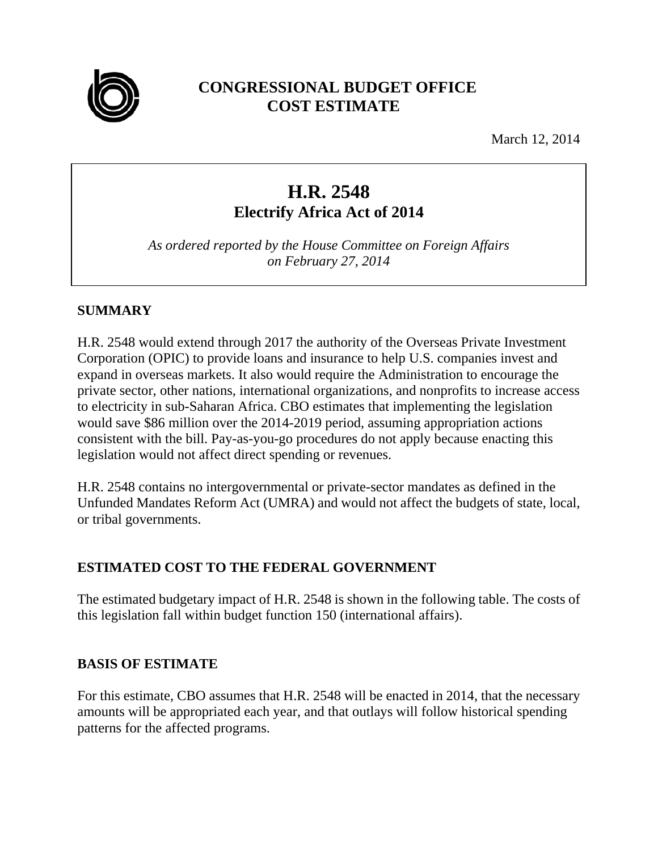

# **CONGRESSIONAL BUDGET OFFICE COST ESTIMATE**

March 12, 2014

# **H.R. 2548 Electrify Africa Act of 2014**

*As ordered reported by the House Committee on Foreign Affairs on February 27, 2014* 

# **SUMMARY**

H.R. 2548 would extend through 2017 the authority of the Overseas Private Investment Corporation (OPIC) to provide loans and insurance to help U.S. companies invest and expand in overseas markets. It also would require the Administration to encourage the private sector, other nations, international organizations, and nonprofits to increase access to electricity in sub-Saharan Africa. CBO estimates that implementing the legislation would save \$86 million over the 2014-2019 period, assuming appropriation actions consistent with the bill. Pay-as-you-go procedures do not apply because enacting this legislation would not affect direct spending or revenues.

H.R. 2548 contains no intergovernmental or private-sector mandates as defined in the Unfunded Mandates Reform Act (UMRA) and would not affect the budgets of state, local, or tribal governments.

# **ESTIMATED COST TO THE FEDERAL GOVERNMENT**

The estimated budgetary impact of H.R. 2548 is shown in the following table. The costs of this legislation fall within budget function 150 (international affairs).

# **BASIS OF ESTIMATE**

For this estimate, CBO assumes that H.R. 2548 will be enacted in 2014, that the necessary amounts will be appropriated each year, and that outlays will follow historical spending patterns for the affected programs.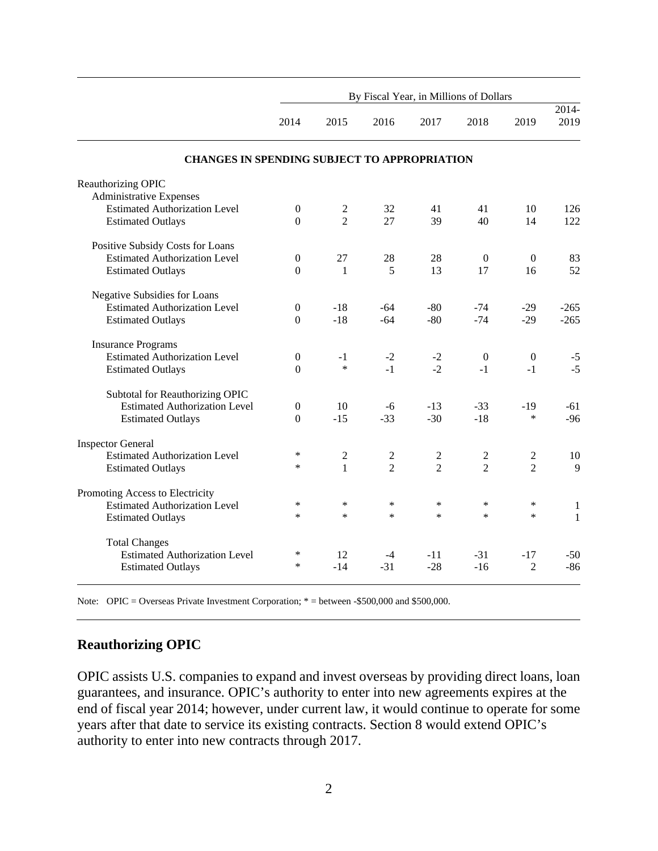|                                                      | By Fiscal Year, in Millions of Dollars |                |                |                |                  |                  |                           |
|------------------------------------------------------|----------------------------------------|----------------|----------------|----------------|------------------|------------------|---------------------------|
|                                                      | 2014                                   | 2015           | 2016           | 2017           | 2018             | 2019             | $\overline{2014}$<br>2019 |
| <b>CHANGES IN SPENDING SUBJECT TO APPROPRIATION</b>  |                                        |                |                |                |                  |                  |                           |
| Reauthorizing OPIC<br><b>Administrative Expenses</b> |                                        |                |                |                |                  |                  |                           |
| <b>Estimated Authorization Level</b>                 | $\boldsymbol{0}$                       | $\overline{2}$ | 32             | 41             | 41               | 10               | 126                       |
| <b>Estimated Outlays</b>                             | $\Omega$                               | $\overline{2}$ | 27             | 39             | 40               | 14               | 122                       |
| Positive Subsidy Costs for Loans                     |                                        |                |                |                |                  |                  |                           |
| <b>Estimated Authorization Level</b>                 | $\boldsymbol{0}$                       | 27             | 28             | 28             | $\mathbf{0}$     | $\mathbf{0}$     | 83                        |
| <b>Estimated Outlays</b>                             | $\theta$                               | 1              | 5              | 13             | 17               | 16               | 52                        |
| Negative Subsidies for Loans                         |                                        |                |                |                |                  |                  |                           |
| <b>Estimated Authorization Level</b>                 | $\mathbf{0}$                           | $-18$          | -64            | $-80$          | $-74$            | $-29$            | $-265$                    |
| <b>Estimated Outlays</b>                             | $\boldsymbol{0}$                       | $-18$          | $-64$          | $-80$          | $-74$            | $-29$            | $-265$                    |
| <b>Insurance Programs</b>                            |                                        |                |                |                |                  |                  |                           |
| <b>Estimated Authorization Level</b>                 | $\boldsymbol{0}$                       | $-1$           | $-2$           | $-2$           | $\boldsymbol{0}$ | $\boldsymbol{0}$ | $-5$                      |
| <b>Estimated Outlays</b>                             | $\overline{0}$                         | $\ast$         | $-1$           | $-2$           | $-1$             | $-1$             | $-5$                      |
| Subtotal for Reauthorizing OPIC                      |                                        |                |                |                |                  |                  |                           |
| <b>Estimated Authorization Level</b>                 | $\boldsymbol{0}$                       | 10             | -6             | $-13$          | $-33$            | $-19$            | $-61$                     |
| <b>Estimated Outlays</b>                             | $\overline{0}$                         | $-15$          | $-33$          | $-30$          | $-18$            | *                | $-96$                     |
| <b>Inspector General</b>                             |                                        |                |                |                |                  |                  |                           |
| <b>Estimated Authorization Level</b>                 | ∗                                      | $\overline{c}$ | $\overline{c}$ | $\overline{c}$ | 2                | $\sqrt{2}$       | 10                        |
| <b>Estimated Outlays</b>                             | $\ast$                                 | $\mathbf{1}$   | $\mathfrak{D}$ | $\mathfrak{D}$ | $\overline{2}$   | $\overline{2}$   | $\mathbf{Q}$              |
| Promoting Access to Electricity                      |                                        |                |                |                |                  |                  |                           |
| <b>Estimated Authorization Level</b>                 | $\ast$                                 | $\ast$         | $\ast$         | $\ast$         | $\ast$           | $\ast$           | $\mathbf{1}$              |
| <b>Estimated Outlays</b>                             | $\ast$                                 | $\ast$         | $\ast$         | $\ast$         | $\ast$           | $\ast$           | $\mathbf{1}$              |
| <b>Total Changes</b>                                 |                                        |                |                |                |                  |                  |                           |
| <b>Estimated Authorization Level</b>                 | $\ast$                                 | 12             | -4             | -11            | $-31$            | $-17$            | $-50$                     |
| <b>Estimated Outlays</b>                             | $\ast$                                 | $-14$          | $-31$          | $-28$          | $-16$            | $\overline{2}$   | $-86$                     |

Note: OPIC = Overseas Private Investment Corporation; \* = between -\$500,000 and \$500,000.

#### **Reauthorizing OPIC**

OPIC assists U.S. companies to expand and invest overseas by providing direct loans, loan guarantees, and insurance. OPIC's authority to enter into new agreements expires at the end of fiscal year 2014; however, under current law, it would continue to operate for some years after that date to service its existing contracts. Section 8 would extend OPIC's authority to enter into new contracts through 2017.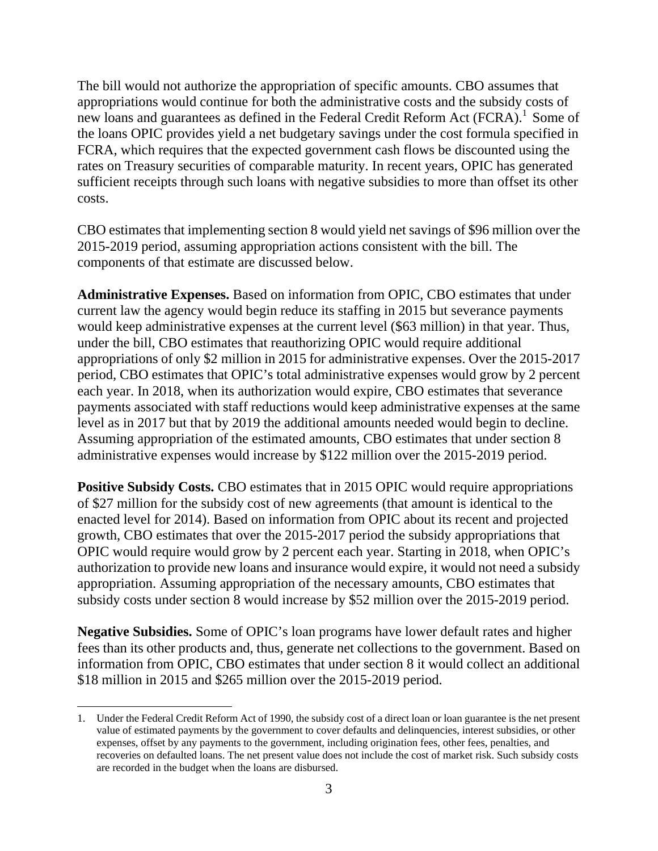The bill would not authorize the appropriation of specific amounts. CBO assumes that appropriations would continue for both the administrative costs and the subsidy costs of new loans and guarantees as defined in the Federal Credit Reform Act (FCRA).<sup>1</sup> Some of the loans OPIC provides yield a net budgetary savings under the cost formula specified in FCRA, which requires that the expected government cash flows be discounted using the rates on Treasury securities of comparable maturity. In recent years, OPIC has generated sufficient receipts through such loans with negative subsidies to more than offset its other costs.

CBO estimates that implementing section 8 would yield net savings of \$96 million over the 2015-2019 period, assuming appropriation actions consistent with the bill. The components of that estimate are discussed below.

**Administrative Expenses.** Based on information from OPIC, CBO estimates that under current law the agency would begin reduce its staffing in 2015 but severance payments would keep administrative expenses at the current level (\$63 million) in that year. Thus, under the bill, CBO estimates that reauthorizing OPIC would require additional appropriations of only \$2 million in 2015 for administrative expenses. Over the 2015-2017 period, CBO estimates that OPIC's total administrative expenses would grow by 2 percent each year. In 2018, when its authorization would expire, CBO estimates that severance payments associated with staff reductions would keep administrative expenses at the same level as in 2017 but that by 2019 the additional amounts needed would begin to decline. Assuming appropriation of the estimated amounts, CBO estimates that under section 8 administrative expenses would increase by \$122 million over the 2015-2019 period.

**Positive Subsidy Costs.** CBO estimates that in 2015 OPIC would require appropriations of \$27 million for the subsidy cost of new agreements (that amount is identical to the enacted level for 2014). Based on information from OPIC about its recent and projected growth, CBO estimates that over the 2015-2017 period the subsidy appropriations that OPIC would require would grow by 2 percent each year. Starting in 2018, when OPIC's authorization to provide new loans and insurance would expire, it would not need a subsidy appropriation. Assuming appropriation of the necessary amounts, CBO estimates that subsidy costs under section 8 would increase by \$52 million over the 2015-2019 period.

**Negative Subsidies.** Some of OPIC's loan programs have lower default rates and higher fees than its other products and, thus, generate net collections to the government. Based on information from OPIC, CBO estimates that under section 8 it would collect an additional \$18 million in 2015 and \$265 million over the 2015-2019 period.

 $\overline{a}$ 

<sup>1.</sup> Under the Federal Credit Reform Act of 1990, the subsidy cost of a direct loan or loan guarantee is the net present value of estimated payments by the government to cover defaults and delinquencies, interest subsidies, or other expenses, offset by any payments to the government, including origination fees, other fees, penalties, and recoveries on defaulted loans. The net present value does not include the cost of market risk. Such subsidy costs are recorded in the budget when the loans are disbursed.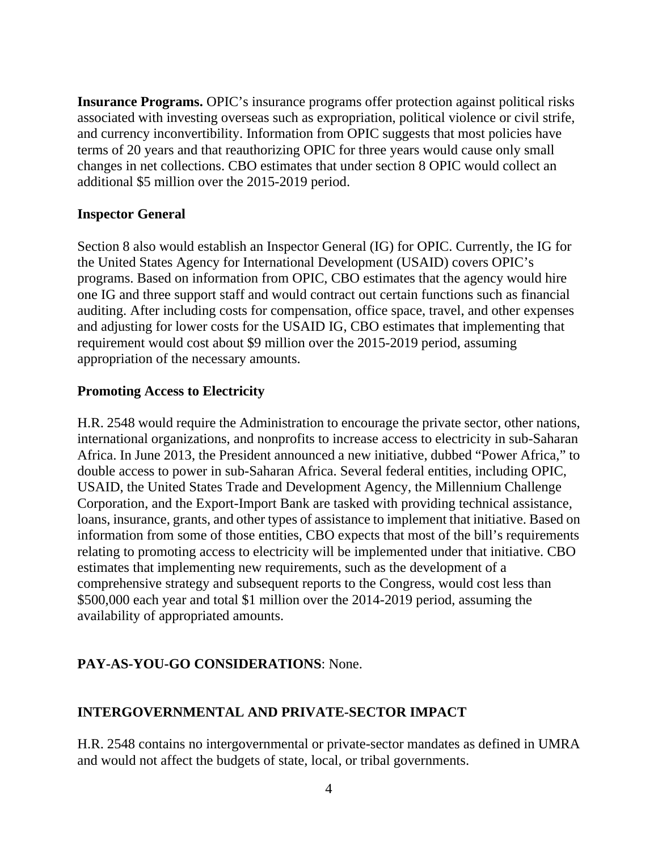**Insurance Programs.** OPIC's insurance programs offer protection against political risks associated with investing overseas such as expropriation, political violence or civil strife, and currency inconvertibility. Information from OPIC suggests that most policies have terms of 20 years and that reauthorizing OPIC for three years would cause only small changes in net collections. CBO estimates that under section 8 OPIC would collect an additional \$5 million over the 2015-2019 period.

#### **Inspector General**

Section 8 also would establish an Inspector General (IG) for OPIC. Currently, the IG for the United States Agency for International Development (USAID) covers OPIC's programs. Based on information from OPIC, CBO estimates that the agency would hire one IG and three support staff and would contract out certain functions such as financial auditing. After including costs for compensation, office space, travel, and other expenses and adjusting for lower costs for the USAID IG, CBO estimates that implementing that requirement would cost about \$9 million over the 2015-2019 period, assuming appropriation of the necessary amounts.

#### **Promoting Access to Electricity**

H.R. 2548 would require the Administration to encourage the private sector, other nations, international organizations, and nonprofits to increase access to electricity in sub-Saharan Africa. In June 2013, the President announced a new initiative, dubbed "Power Africa," to double access to power in sub-Saharan Africa. Several federal entities, including OPIC, USAID, the United States Trade and Development Agency, the Millennium Challenge Corporation, and the Export-Import Bank are tasked with providing technical assistance, loans, insurance, grants, and other types of assistance to implement that initiative. Based on information from some of those entities, CBO expects that most of the bill's requirements relating to promoting access to electricity will be implemented under that initiative. CBO estimates that implementing new requirements, such as the development of a comprehensive strategy and subsequent reports to the Congress, would cost less than \$500,000 each year and total \$1 million over the 2014-2019 period, assuming the availability of appropriated amounts.

#### **PAY-AS-YOU-GO CONSIDERATIONS**: None.

#### **INTERGOVERNMENTAL AND PRIVATE-SECTOR IMPACT**

H.R. 2548 contains no intergovernmental or private-sector mandates as defined in UMRA and would not affect the budgets of state, local, or tribal governments.